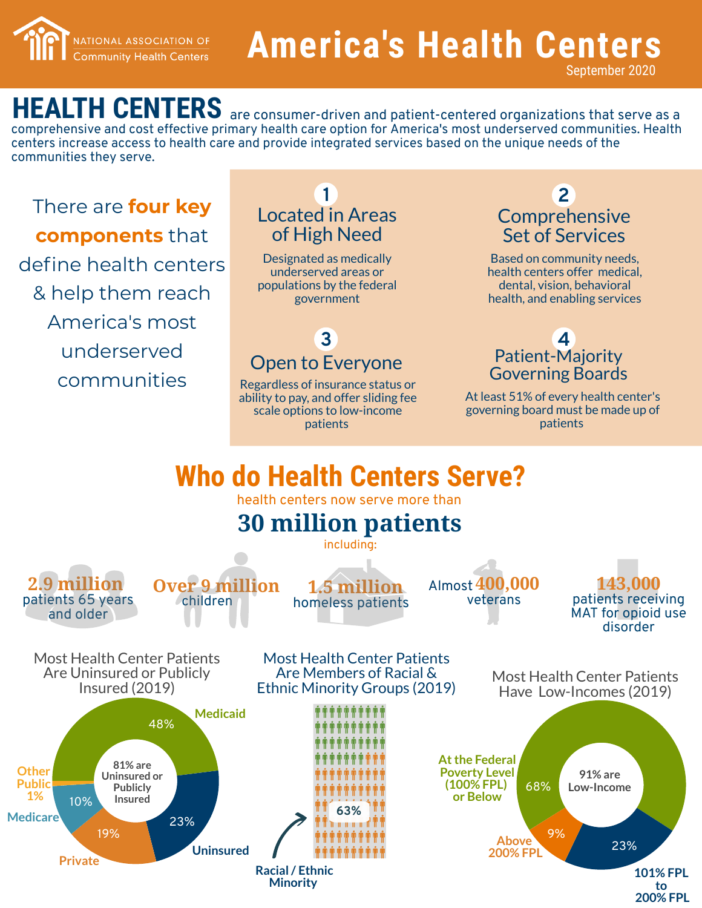

# **America's Health Centers**

September 2020

HEALTH CENTERS are consumer-driven and patient-centered organizations that serve as a comprehensive and cost effective primary health care option for America's most underserved communities. Health centers increase access to health care and provide integrated services based on the unique needs of the communities they serve.

**There are four key components** that define health centers & help them reach America's most underserved c o m m u nitie s

# government **1** Located in Areas of High Need

Designated as medically underserved areas or populations by the federal

#### Open to Everyone **3**

Regardless of insurance status or ability to pay, and offer sliding fee scale options to low-income patients

#### **2 Comprehensive** Set of Services

Based on community needs, health centers offer medical, dental, vision, behavioral health, and enabling services

#### Patient-Majority Governing Boards **4**

At least 51% of every health center's governing board must be made up of patients

## **Who do Health Centers Serve?**

health centers now serve more than

## **30 million patients**

clu din g :





**1.5 million** homeless patients

**400,000** Alm o s veterans